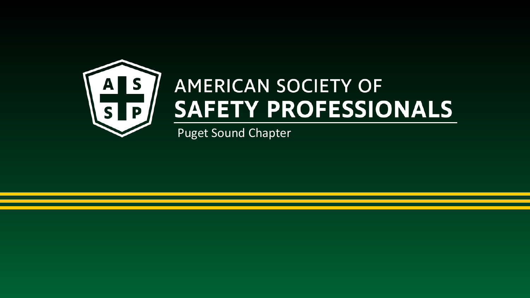

#### **AMERICAN SOCIETY OF** SAFETY PROFESSIONALS

Puget Sound Chapter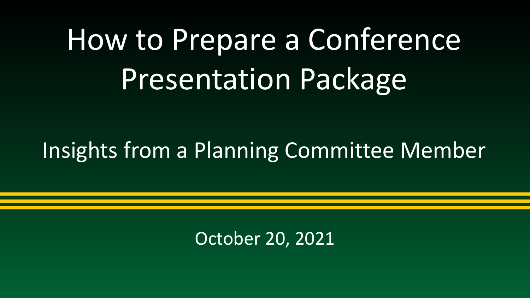# How to Prepare a Conference Presentation Package

#### Insights from a Planning Committee Member

October 20, 2021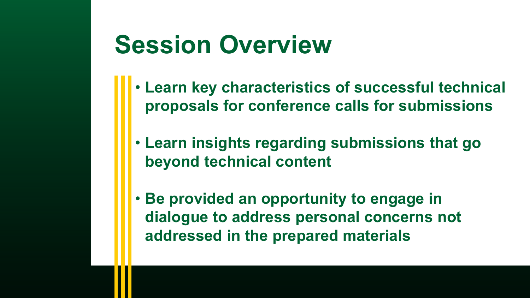#### **Session Overview**

- **Learn key characteristics of successful technical proposals for conference calls for submissions**
- **Learn insights regarding submissions that go beyond technical content**
- **Be provided an opportunity to engage in dialogue to address personal concerns not addressed in the prepared materials**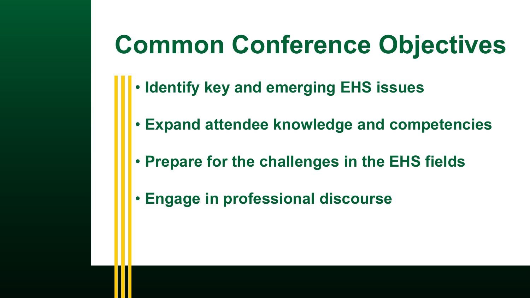# **Common Conference Objectives**

- **Identify key and emerging EHS issues**
- **Expand attendee knowledge and competencies**
- **Prepare for the challenges in the EHS fields**
- **Engage in professional discourse**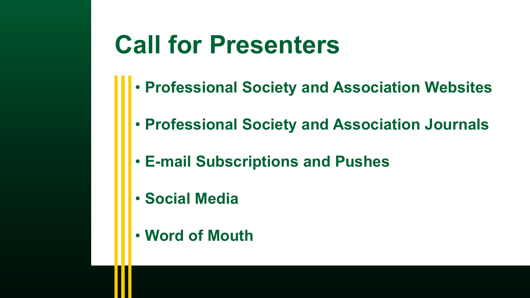#### **Call for Presenters**

- **Professional Society and Association Websites**
- **Professional Society and Association Journals**
- **E-mail Subscriptions and Pushes**
- **Social Media**
- **Word of Mouth**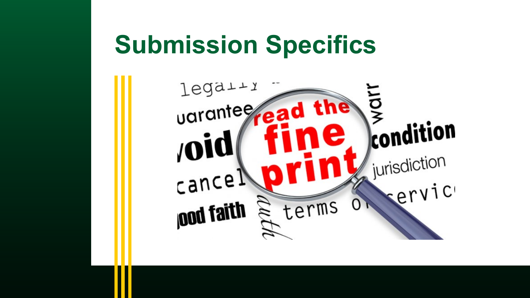#### **Submission Specifics**

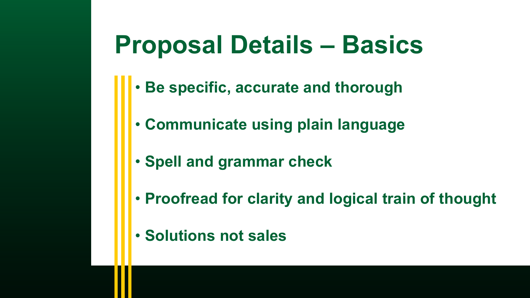#### **Proposal Details – Basics**

- **Be specific, accurate and thorough**
- **Communicate using plain language**
- **Spell and grammar check**
- **Proofread for clarity and logical train of thought**
- **Solutions not sales**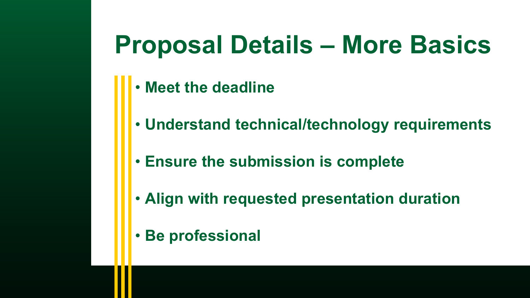## **Proposal Details – More Basics**

- **Meet the deadline**
- **Understand technical/technology requirements**
- **Ensure the submission is complete**
- **Align with requested presentation duration**
- **Be professional**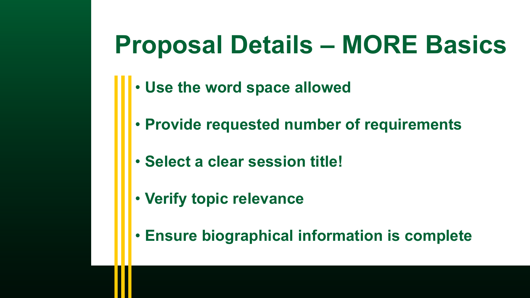## **Proposal Details – MORE Basics**

- **Use the word space allowed**
- **Provide requested number of requirements**
- **Select a clear session title!**
- **Verify topic relevance**
- **Ensure biographical information is complete**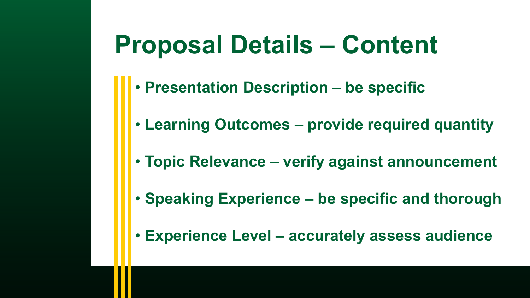#### **Proposal Details – Content**

- **Presentation Description – be specific**
- **Learning Outcomes – provide required quantity**
- **Topic Relevance – verify against announcement**
- **Speaking Experience – be specific and thorough**
- **Experience Level – accurately assess audience**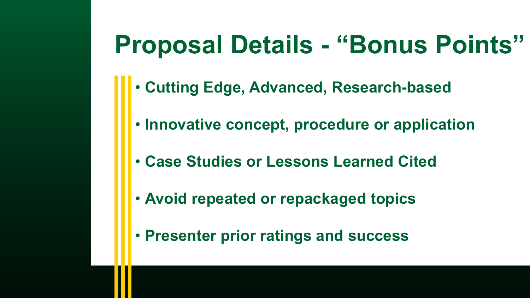## **Proposal Details - "Bonus Points"**

- **Cutting Edge, Advanced, Research-based**
- **Innovative concept, procedure or application**
- **Case Studies or Lessons Learned Cited**
- **Avoid repeated or repackaged topics**
- **Presenter prior ratings and success**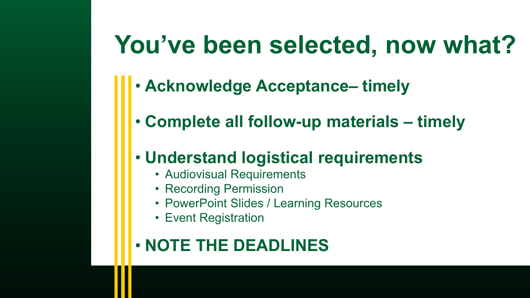### **You've been selected, now what?**

- **Acknowledge Acceptance– timely**
- **Complete all follow-up materials – timely**

#### • **Understand logistical requirements**

- Audiovisual Requirements
- Recording Permission
- PowerPoint Slides / Learning Resources
- Event Registration

#### • **NOTE THE DEADLINES**